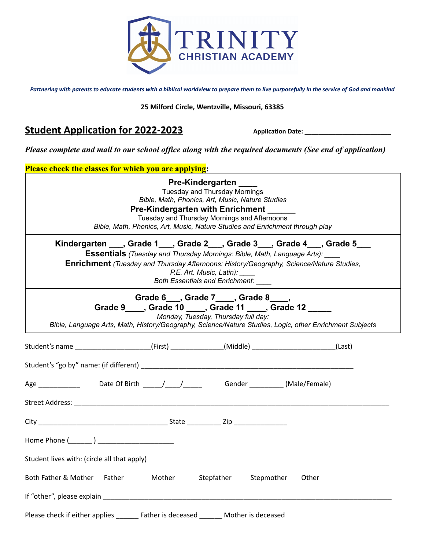

*Partnering with parents to educate students with a biblical worldview to prepare them to live purposefully in the service of God and mankind*

#### **25 Milford Circle, Wentzville, Missouri, 63385**

# **Student Application for 2022-2023** Application Date: \_\_\_\_\_\_\_\_\_\_\_\_\_\_\_\_\_\_\_\_\_\_\_\_\_\_\_\_

*Please complete and mail to our school office along with the required documents (See end of application)*

| Please check the classes for which you are applying:                                                                                                                                                                                                             |        |                                                                                                                                                                                                                                                                                        |            |       |
|------------------------------------------------------------------------------------------------------------------------------------------------------------------------------------------------------------------------------------------------------------------|--------|----------------------------------------------------------------------------------------------------------------------------------------------------------------------------------------------------------------------------------------------------------------------------------------|------------|-------|
|                                                                                                                                                                                                                                                                  |        | Pre-Kindergarten<br><b>Tuesday and Thursday Mornings</b><br>Bible, Math, Phonics, Art, Music, Nature Studies<br>Pre-Kindergarten with Enrichment _____<br>Tuesday and Thursday Mornings and Afternoons<br>Bible, Math, Phonics, Art, Music, Nature Studies and Enrichment through play |            |       |
| Kindergarten ___, Grade 1___, Grade 2___, Grade 3___, Grade 4___, Grade 5___<br><b>Essentials</b> (Tuesday and Thursday Mornings: Bible, Math, Language Arts):<br><b>Enrichment</b> (Tuesday and Thursday Afternoons: History/Geography, Science/Nature Studies, |        | P.E. Art. Music, Latin):<br>Both Essentials and Enrichment: ____                                                                                                                                                                                                                       |            |       |
| Bible, Language Arts, Math, History/Geography, Science/Nature Studies, Logic, other Enrichment Subjects                                                                                                                                                          |        | Grade 6___, Grade 7____, Grade 8___,<br>Grade 9 ____, Grade 10 ____, Grade 11 ____, Grade 12 _____<br>Monday, Tuesday, Thursday full day:                                                                                                                                              |            |       |
| Student's name _______________________(First) ______________(Middle) ________________________(Last)                                                                                                                                                              |        |                                                                                                                                                                                                                                                                                        |            |       |
|                                                                                                                                                                                                                                                                  |        |                                                                                                                                                                                                                                                                                        |            |       |
| Age ______________ Date Of Birth _____/____/_____________Gender __________(Male/Female)                                                                                                                                                                          |        |                                                                                                                                                                                                                                                                                        |            |       |
|                                                                                                                                                                                                                                                                  |        |                                                                                                                                                                                                                                                                                        |            |       |
|                                                                                                                                                                                                                                                                  |        |                                                                                                                                                                                                                                                                                        |            |       |
| Home Phone ( )                                                                                                                                                                                                                                                   |        |                                                                                                                                                                                                                                                                                        |            |       |
| Student lives with: (circle all that apply)                                                                                                                                                                                                                      |        |                                                                                                                                                                                                                                                                                        |            |       |
| Both Father & Mother Father                                                                                                                                                                                                                                      | Mother | Stepfather                                                                                                                                                                                                                                                                             | Stepmother | Other |
|                                                                                                                                                                                                                                                                  |        |                                                                                                                                                                                                                                                                                        |            |       |
| Please check if either applies _______ Father is deceased ______ Mother is deceased                                                                                                                                                                              |        |                                                                                                                                                                                                                                                                                        |            |       |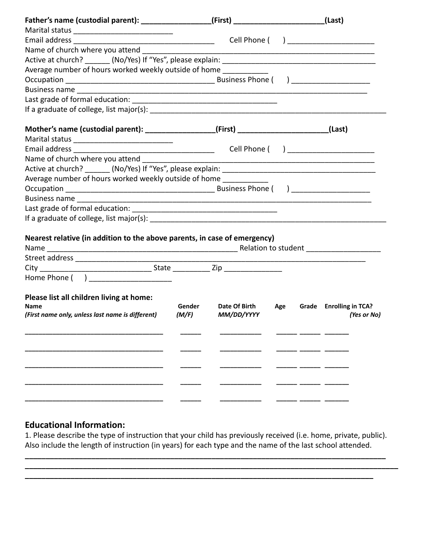|                                                                                        |                 | (First) $\_$                                                                                                          |     | (Last)                                 |
|----------------------------------------------------------------------------------------|-----------------|-----------------------------------------------------------------------------------------------------------------------|-----|----------------------------------------|
|                                                                                        |                 |                                                                                                                       |     |                                        |
|                                                                                        |                 |                                                                                                                       |     | Cell Phone ( ) _______________________ |
| Name of church where you attend                                                        |                 |                                                                                                                       |     |                                        |
|                                                                                        |                 |                                                                                                                       |     |                                        |
| Average number of hours worked weekly outside of home ____________                     |                 |                                                                                                                       |     |                                        |
|                                                                                        |                 |                                                                                                                       |     |                                        |
|                                                                                        |                 |                                                                                                                       |     |                                        |
|                                                                                        |                 |                                                                                                                       |     |                                        |
|                                                                                        |                 |                                                                                                                       |     |                                        |
| Mother's name (custodial parent): ________________(First) ______________________(Last) |                 |                                                                                                                       |     |                                        |
|                                                                                        |                 |                                                                                                                       |     |                                        |
|                                                                                        |                 |                                                                                                                       |     | Cell Phone ( ) _______________________ |
| Name of church where you attend                                                        |                 | <u> 1980 - Johann Barn, amerikan besteman besteman besteman besteman besteman besteman besteman besteman besteman</u> |     |                                        |
|                                                                                        |                 |                                                                                                                       |     |                                        |
| Average number of hours worked weekly outside of home                                  |                 |                                                                                                                       |     |                                        |
|                                                                                        |                 |                                                                                                                       |     |                                        |
|                                                                                        |                 |                                                                                                                       |     |                                        |
|                                                                                        |                 |                                                                                                                       |     |                                        |
|                                                                                        |                 |                                                                                                                       |     |                                        |
|                                                                                        |                 |                                                                                                                       |     |                                        |
| Nearest relative (in addition to the above parents, in case of emergency)              |                 |                                                                                                                       |     |                                        |
|                                                                                        |                 |                                                                                                                       |     |                                        |
|                                                                                        |                 |                                                                                                                       |     |                                        |
|                                                                                        |                 |                                                                                                                       |     |                                        |
| Home Phone ( ) ______________________                                                  |                 |                                                                                                                       |     |                                        |
|                                                                                        |                 |                                                                                                                       |     |                                        |
| Please list all children living at home:                                               |                 |                                                                                                                       |     |                                        |
| <b>Name</b><br>(First name only, unless last name is different)                        | Gender<br>(M/F) | Date Of Birth<br>MM/DD/YYYY                                                                                           | Age | Grade Enrolling in TCA?<br>(Yes or No) |
|                                                                                        |                 |                                                                                                                       |     |                                        |
|                                                                                        |                 |                                                                                                                       |     |                                        |
|                                                                                        |                 |                                                                                                                       |     |                                        |
|                                                                                        |                 |                                                                                                                       |     |                                        |
|                                                                                        |                 |                                                                                                                       |     |                                        |
|                                                                                        |                 |                                                                                                                       |     |                                        |
|                                                                                        |                 |                                                                                                                       |     |                                        |
|                                                                                        |                 |                                                                                                                       |     |                                        |
|                                                                                        |                 |                                                                                                                       |     |                                        |
|                                                                                        |                 |                                                                                                                       |     |                                        |

## **Educational Information:**

1. Please describe the type of instruction that your child has previously received (i.e. home, private, public). Also include the length of instruction (in years) for each type and the name of the last school attended.

**\_\_\_\_\_\_\_\_\_\_\_\_\_\_\_\_\_\_\_\_\_\_\_\_\_\_\_\_\_\_\_\_\_\_\_\_\_\_\_\_\_\_\_\_\_\_\_\_\_\_\_\_\_\_\_\_\_\_\_\_\_\_\_\_\_\_\_\_\_\_\_\_\_\_\_\_\_\_\_\_\_\_\_\_\_\_\_ \_\_\_\_\_\_\_\_\_\_\_\_\_\_\_\_\_\_\_\_\_\_\_\_\_\_\_\_\_\_\_\_\_\_\_\_\_\_\_\_\_\_\_\_\_\_\_\_\_\_\_\_\_\_\_\_\_\_\_\_\_\_\_\_\_\_\_\_\_\_\_\_\_\_\_\_\_\_\_\_\_\_\_\_\_\_\_\_\_\_**

**\_\_\_\_\_\_\_\_\_\_\_\_\_\_\_\_\_\_\_\_\_\_\_\_\_\_\_\_\_\_\_\_\_\_\_\_\_\_\_\_\_\_\_\_\_\_\_\_\_\_\_\_\_\_\_\_\_\_\_\_\_\_\_\_\_\_\_\_\_\_\_\_\_\_\_\_\_\_\_\_\_\_\_\_**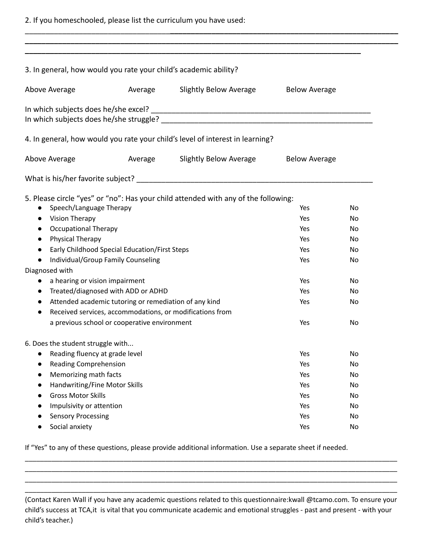2. If you homeschooled, please list the curriculum you have used:

| 3. In general, how would you rate your child's academic ability?                                                                                                                                                                                                                   |                                                                                                                                                                                                                                    |                                                                                                                                                |                                                                    |                                                          |
|------------------------------------------------------------------------------------------------------------------------------------------------------------------------------------------------------------------------------------------------------------------------------------|------------------------------------------------------------------------------------------------------------------------------------------------------------------------------------------------------------------------------------|------------------------------------------------------------------------------------------------------------------------------------------------|--------------------------------------------------------------------|----------------------------------------------------------|
| Above Average                                                                                                                                                                                                                                                                      | Average                                                                                                                                                                                                                            | Slightly Below Average                                                                                                                         | <b>Below Average</b>                                               |                                                          |
|                                                                                                                                                                                                                                                                                    |                                                                                                                                                                                                                                    |                                                                                                                                                |                                                                    |                                                          |
|                                                                                                                                                                                                                                                                                    |                                                                                                                                                                                                                                    | 4. In general, how would you rate your child's level of interest in learning?                                                                  |                                                                    |                                                          |
| Above Average                                                                                                                                                                                                                                                                      | Average                                                                                                                                                                                                                            | Slightly Below Average                                                                                                                         | <b>Below Average</b>                                               |                                                          |
|                                                                                                                                                                                                                                                                                    |                                                                                                                                                                                                                                    |                                                                                                                                                |                                                                    |                                                          |
| Speech/Language Therapy<br>Vision Therapy<br>$\bullet$<br><b>Occupational Therapy</b><br>$\bullet$<br>Physical Therapy<br>$\bullet$<br>$\bullet$<br>$\bullet$<br>Diagnosed with<br>a hearing or vision impairment<br>$\bullet$<br>$\bullet$<br>$\bullet$                           | Early Childhood Special Education/First Steps<br>Individual/Group Family Counseling<br>Treated/diagnosed with ADD or ADHD<br>Attended academic tutoring or remediation of any kind<br>a previous school or cooperative environment | 5. Please circle "yes" or "no": Has your child attended with any of the following:<br>Received services, accommodations, or modifications from | Yes<br>Yes<br>Yes<br>Yes<br>Yes<br>Yes<br>Yes<br>Yes<br>Yes<br>Yes | No<br>No<br>No<br>No<br>No<br>No<br>No<br>No<br>No<br>No |
| 6. Does the student struggle with<br>Reading fluency at grade level<br><b>Reading Comprehension</b><br>Memorizing math facts<br>Handwriting/Fine Motor Skills<br>$\bullet$<br><b>Gross Motor Skills</b><br>Impulsivity or attention<br><b>Sensory Processing</b><br>Social anxiety |                                                                                                                                                                                                                                    |                                                                                                                                                | Yes<br>Yes<br>Yes<br>Yes<br>Yes<br>Yes<br>Yes<br>Yes               | No<br>No<br>No<br>No<br>No<br>No<br>No<br>No             |

\_\_\_\_\_\_\_\_\_\_\_\_\_\_\_\_\_\_\_\_\_\_\_\_\_\_\_\_\_\_\_\_\_\_\_**\_\_\_\_\_\_\_\_\_\_\_\_\_\_\_\_\_\_\_\_\_\_\_\_\_\_\_\_\_\_\_\_\_\_\_\_\_\_\_\_\_\_\_\_\_\_\_\_\_\_\_\_\_\_\_**

If "Yes" to any of these questions, please provide additional information. Use a separate sheet if needed.

(Contact Karen Wall if you have any academic questions related to this questionnaire:kwall @tcamo.com. To ensure your child's success at TCA,it is vital that you communicate academic and emotional struggles - past and present - with your child's teacher.)

\_\_\_\_\_\_\_\_\_\_\_\_\_\_\_\_\_\_\_\_\_\_\_\_\_\_\_\_\_\_\_\_\_\_\_\_\_\_\_\_\_\_\_\_\_\_\_\_\_\_\_\_\_\_\_\_\_\_\_\_\_\_\_\_\_\_\_\_\_\_\_\_\_\_\_\_\_\_\_\_\_\_\_\_\_\_\_\_\_\_\_\_\_\_\_\_\_\_ \_\_\_\_\_\_\_\_\_\_\_\_\_\_\_\_\_\_\_\_\_\_\_\_\_\_\_\_\_\_\_\_\_\_\_\_\_\_\_\_\_\_\_\_\_\_\_\_\_\_\_\_\_\_\_\_\_\_\_\_\_\_\_\_\_\_\_\_\_\_\_\_\_\_\_\_\_\_\_\_\_\_\_\_\_\_\_\_\_\_\_\_\_\_\_\_\_\_ \_\_\_\_\_\_\_\_\_\_\_\_\_\_\_\_\_\_\_\_\_\_\_\_\_\_\_\_\_\_\_\_\_\_\_\_\_\_\_\_\_\_\_\_\_\_\_\_\_\_\_\_\_\_\_\_\_\_\_\_\_\_\_\_\_\_\_\_\_\_\_\_\_\_\_\_\_\_\_\_\_\_\_\_\_\_\_\_\_\_\_\_\_\_\_\_\_\_ \_\_\_\_\_\_\_\_\_\_\_\_\_\_\_\_\_\_\_\_\_\_\_\_\_\_\_\_\_\_\_\_\_\_\_\_\_\_\_\_\_\_\_\_\_\_\_\_\_\_\_\_\_\_\_\_\_\_\_\_\_\_\_\_\_\_\_\_\_\_\_\_\_\_\_\_\_\_\_\_\_\_\_\_\_\_\_\_\_\_\_\_\_\_\_\_\_\_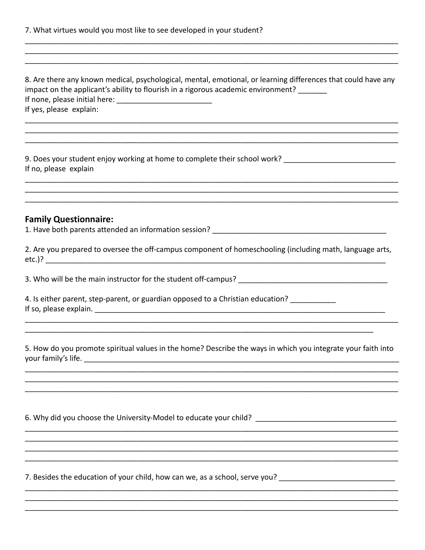| 7. What virtues would you most like to see developed in your student? |  |  |  |
|-----------------------------------------------------------------------|--|--|--|
|-----------------------------------------------------------------------|--|--|--|

| 8. Are there any known medical, psychological, mental, emotional, or learning differences that could have any<br>impact on the applicant's ability to flourish in a rigorous academic environment? _______<br>If yes, please explain: |
|---------------------------------------------------------------------------------------------------------------------------------------------------------------------------------------------------------------------------------------|
| 9. Does your student enjoy working at home to complete their school work? __________________________<br>If no, please explain                                                                                                         |
| <b>Family Questionnaire:</b>                                                                                                                                                                                                          |
| 2. Are you prepared to oversee the off-campus component of homeschooling (including math, language arts,                                                                                                                              |
|                                                                                                                                                                                                                                       |
| 4. Is either parent, step-parent, or guardian opposed to a Christian education? ___________                                                                                                                                           |
| 5. How do you promote spiritual values in the home? Describe the ways in which you integrate your faith into                                                                                                                          |
|                                                                                                                                                                                                                                       |
| 6. Why did you choose the University-Model to educate your child? __________________________________                                                                                                                                  |
|                                                                                                                                                                                                                                       |
| 7. Besides the education of your child, how can we, as a school, serve you? __________________________________                                                                                                                        |